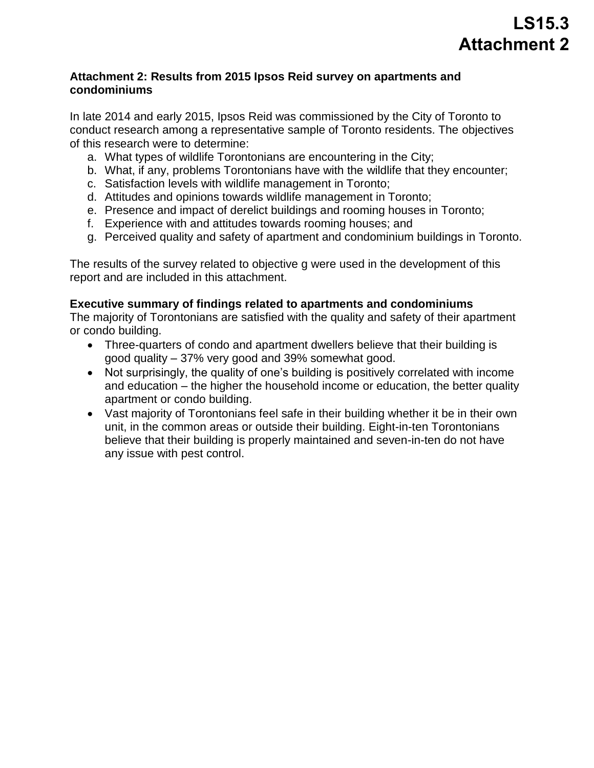### **Attachment 2: Results from 2015 Ipsos Reid survey on apartments and condominiums**

 In late 2014 and early 2015, Ipsos Reid was commissioned by the City of Toronto to conduct research among a representative sample of Toronto residents. The objectives of this research were to determine:

- a. What types of wildlife Torontonians are encountering in the City;
- b. What, if any, problems Torontonians have with the wildlife that they encounter;
- c. Satisfaction levels with wildlife management in Toronto;
- d. Attitudes and opinions towards wildlife management in Toronto;
- e. Presence and impact of derelict buildings and rooming houses in Toronto;
- f. Experience with and attitudes towards rooming houses; and
- g. Perceived quality and safety of apartment and condominium buildings in Toronto.

The results of the survey related to objective g were used in the development of this report and are included in this attachment.

### **Executive summary of findings related to apartments and condominiums**

 The majority of Torontonians are satisfied with the quality and safety of their apartment or condo building.

- good quality 37% very good and 39% somewhat good. Three-quarters of condo and apartment dwellers believe that their building is
- and education the higher the household income or education, the better quality • Not surprisingly, the quality of one's building is positively correlated with income apartment or condo building.
- unit, in the common areas or outside their building. Eight-in-ten Torontonians Vast majority of Torontonians feel safe in their building whether it be in their own believe that their building is properly maintained and seven-in-ten do not have any issue with pest control.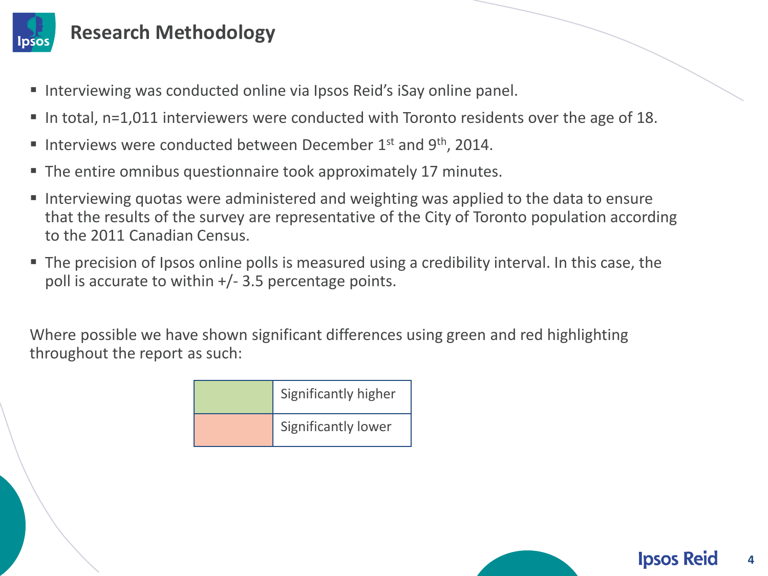

### **Research Methodology**

- Interviewing was conducted online via Ipsos Reid's iSay online panel.
- In total, n=1,011 interviewers were conducted with Toronto residents over the age of 18.
- Interviews were conducted between December  $1<sup>st</sup>$  and  $9<sup>th</sup>$ , 2014.
- The entire omnibus questionnaire took approximately 17 minutes.
- to the 2011 Canadian Census. **IF Interviewing quotas were administered and weighting was applied to the data to ensure** that the results of the survey are representative of the City of Toronto population according
- poll is accurate to within +/- 3.5 percentage points. **The precision of Ipsos online polls is measured using a credibility interval. In this case, the**

 throughout the report as such: Where possible we have shown significant differences using green and red highlighting

| Significantly higher |
|----------------------|
| Significantly lower  |

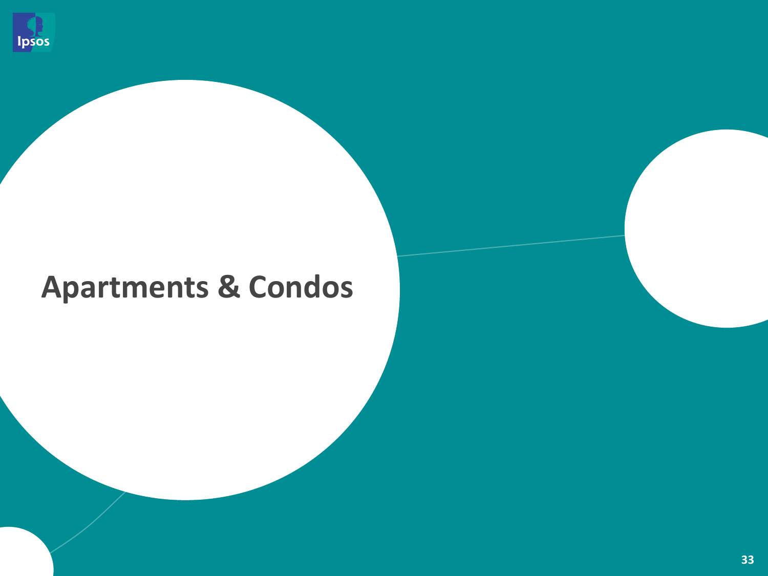

# **Apartments & Condos**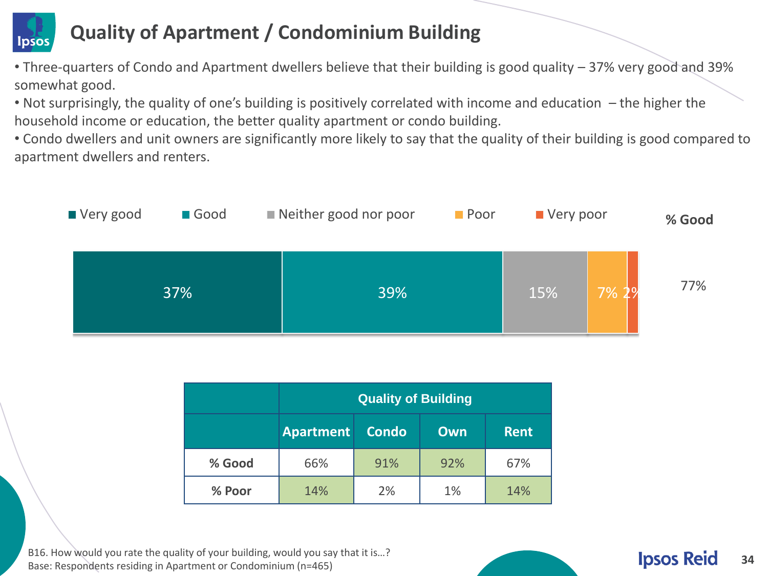#### **Quality of Apartment / Condominium Building**  Ipsos

- • Three-quarters of Condo and Apartment dwellers believe that their building is good quality 37% very good and 39% somewhat good.
- • Not surprisingly, the quality of one's building is positively correlated with income and education the higher the household income or education, the better quality apartment or condo building.
- • Condo dwellers and unit owners are significantly more likely to say that the quality of their building is good compared to apartment dwellers and renters.



|        | <b>Quality of Building</b>              |     |             |     |
|--------|-----------------------------------------|-----|-------------|-----|
|        | <b>Condo</b><br><b>Apartment</b><br>Own |     | <b>Rent</b> |     |
| % Good | 66%                                     | 91% | 92%         | 67% |
| % Poor | 14%                                     | 2%  | 1%          | 14% |

B16. How would you rate the quality of your building, would you say that it is...? Base: Respondents residing in Apartment or Condominium (n=465) **34 Server of Condominium (n=465) 34 34 34**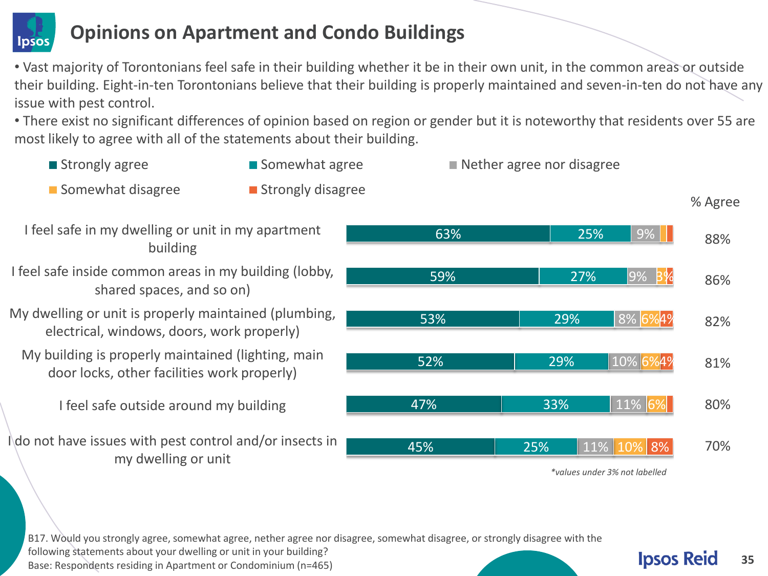

### **Opinions on Apartment and Condo Buildings**

 • Vast majority of Torontonians feel safe in their building whether it be in their own unit, in the common areas or outside their building. Eight-in-ten Torontonians believe that their building is properly maintained and seven-in-ten do not have any issue with pest control.

 • There exist no significant differences of opinion based on region or gender but it is noteworthy that residents over 55 are most likely to agree with all of the statements about their building.



 B17. Would you strongly agree, somewhat agree, nether agree nor disagree, somewhat disagree, or strongly disagree with the following statements about your dwelling or unit in your building? Base: Respondents residing in Apartment or Condominium (n=465)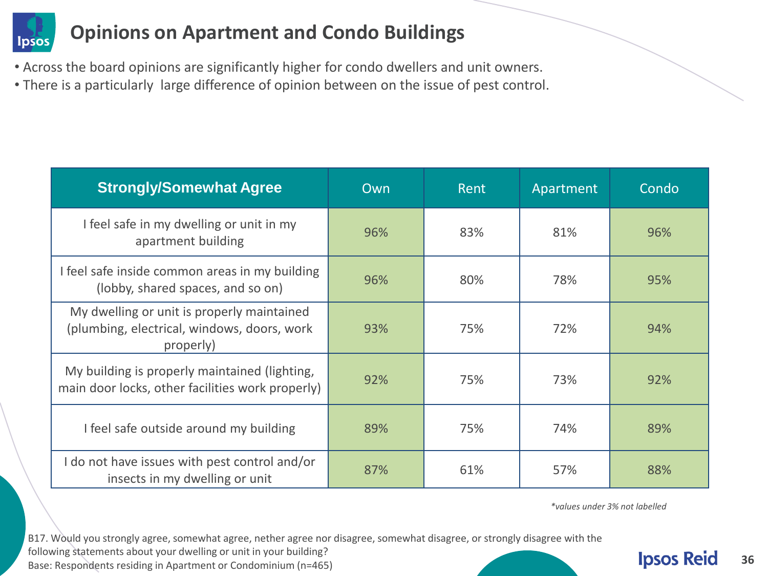

### **Opinions on Apartment and Condo Buildings**

- Across the board opinions are significantly higher for condo dwellers and unit owners.
- There is a particularly large difference of opinion between on the issue of pest control.

| <b>Strongly/Somewhat Agree</b>                                                                         | Own | Rent | Apartment | Condo |
|--------------------------------------------------------------------------------------------------------|-----|------|-----------|-------|
| I feel safe in my dwelling or unit in my<br>apartment building                                         | 96% | 83%  | 81%       | 96%   |
| I feel safe inside common areas in my building<br>(lobby, shared spaces, and so on)                    | 96% | 80%  | 78%       | 95%   |
| My dwelling or unit is properly maintained<br>(plumbing, electrical, windows, doors, work<br>properly) | 93% | 75%  | 72%       | 94%   |
| My building is properly maintained (lighting,<br>main door locks, other facilities work properly)      | 92% | 75%  | 73%       | 92%   |
| I feel safe outside around my building                                                                 | 89% | 75%  | 74%       | 89%   |
| I do not have issues with pest control and/or<br>insects in my dwelling or unit                        | 87% | 61%  | 57%       | 88%   |

 *\*values under 3% not labelled* 

 B17. Would you strongly agree, somewhat agree, nether agree nor disagree, somewhat disagree, or strongly disagree with the following statements about your dwelling or unit in your building? Base: Respondents residing in Apartment or Condominium (n=465)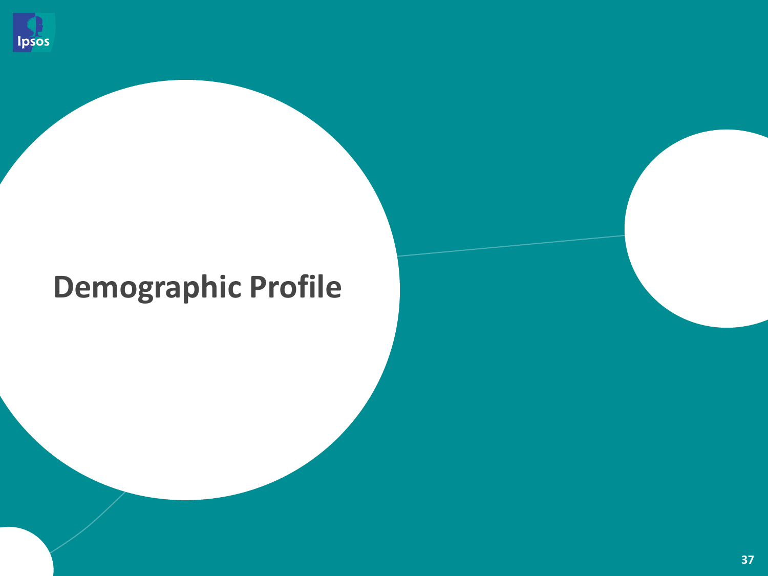

# **Demographic Profile**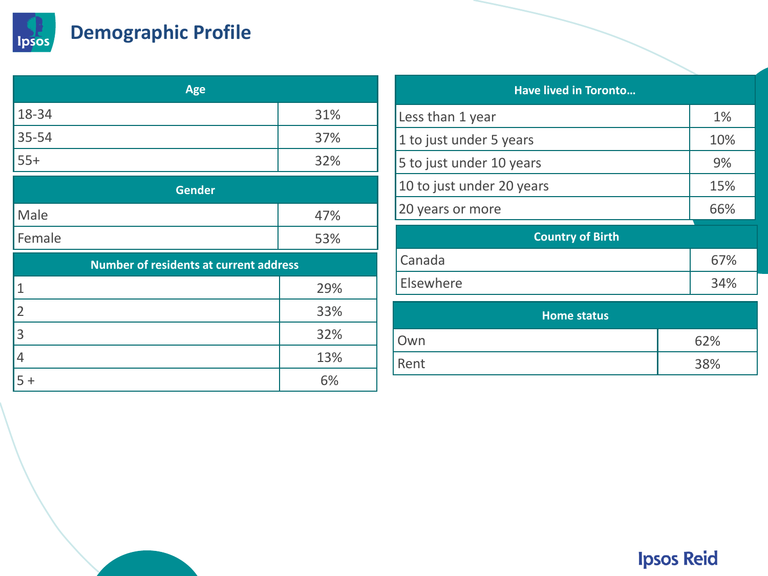

## **Demographic Profile**

| Age       |     |  |
|-----------|-----|--|
| $18 - 34$ | 31% |  |
| $35 - 54$ | 37% |  |
| $55+$     | 32% |  |

| <b>Gender</b> |     |
|---------------|-----|
| Male          | 47% |
| Female        | 53% |

| <b>Number of residents at current address</b> |     |  |
|-----------------------------------------------|-----|--|
|                                               | 29% |  |
|                                               | 33% |  |
| 3                                             | 32% |  |
|                                               | 13% |  |
|                                               | 6%  |  |

#### **Have lived in Toronto...**

| Less than 1 year          | 1%  |
|---------------------------|-----|
| 1 to just under 5 years   | 10% |
| 5 to just under 10 years  | 9%  |
| 10 to just under 20 years | 15% |
| 20 years or more          | 66% |

| <b>Country of Birth</b> |     |
|-------------------------|-----|
| Canada                  | 67% |
| Elsewhere               | 34% |

| Home status |     |
|-------------|-----|
| Own         | 62% |
| Rent        | 38% |

## **Ipsos Reid**